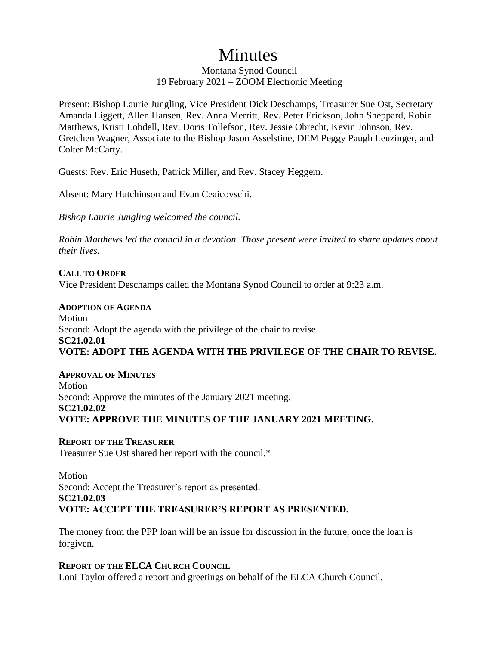# **Minutes**

Montana Synod Council 19 February 2021 – ZOOM Electronic Meeting

Present: Bishop Laurie Jungling, Vice President Dick Deschamps, Treasurer Sue Ost, Secretary Amanda Liggett, Allen Hansen, Rev. Anna Merritt, Rev. Peter Erickson, John Sheppard, Robin Matthews, Kristi Lobdell, Rev. Doris Tollefson, Rev. Jessie Obrecht, Kevin Johnson, Rev. Gretchen Wagner, Associate to the Bishop Jason Asselstine, DEM Peggy Paugh Leuzinger, and Colter McCarty.

Guests: Rev. Eric Huseth, Patrick Miller, and Rev. Stacey Heggem.

Absent: Mary Hutchinson and Evan Ceaicovschi.

*Bishop Laurie Jungling welcomed the council.* 

*Robin Matthews led the council in a devotion. Those present were invited to share updates about their lives.*

**CALL TO ORDER** Vice President Deschamps called the Montana Synod Council to order at 9:23 a.m.

**ADOPTION OF AGENDA** Motion Second: Adopt the agenda with the privilege of the chair to revise. **SC21.02.01 VOTE: ADOPT THE AGENDA WITH THE PRIVILEGE OF THE CHAIR TO REVISE.** 

**APPROVAL OF MINUTES** Motion Second: Approve the minutes of the January 2021 meeting. **SC21.02.02 VOTE: APPROVE THE MINUTES OF THE JANUARY 2021 MEETING.** 

**REPORT OF THE TREASURER** Treasurer Sue Ost shared her report with the council.\*

Motion Second: Accept the Treasurer's report as presented. **SC21.02.03 VOTE: ACCEPT THE TREASURER'S REPORT AS PRESENTED.**

The money from the PPP loan will be an issue for discussion in the future, once the loan is forgiven.

**REPORT OF THE ELCA CHURCH COUNCIL**

Loni Taylor offered a report and greetings on behalf of the ELCA Church Council.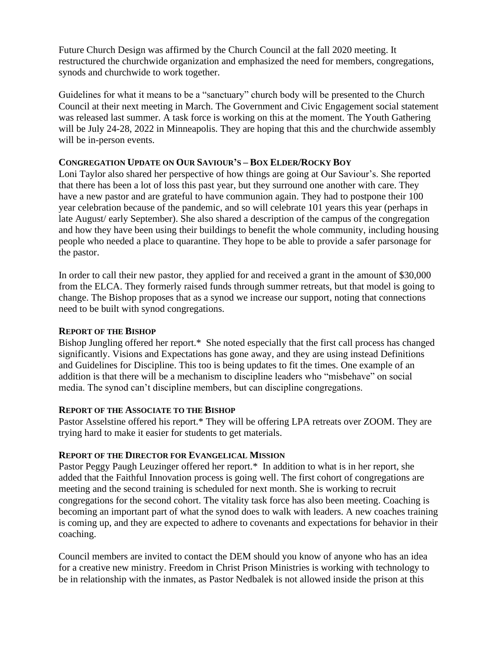Future Church Design was affirmed by the Church Council at the fall 2020 meeting. It restructured the churchwide organization and emphasized the need for members, congregations, synods and churchwide to work together.

Guidelines for what it means to be a "sanctuary" church body will be presented to the Church Council at their next meeting in March. The Government and Civic Engagement social statement was released last summer. A task force is working on this at the moment. The Youth Gathering will be July 24-28, 2022 in Minneapolis. They are hoping that this and the churchwide assembly will be in-person events.

### **CONGREGATION UPDATE ON OUR SAVIOUR'S – BOX ELDER/ROCKY BOY**

Loni Taylor also shared her perspective of how things are going at Our Saviour's. She reported that there has been a lot of loss this past year, but they surround one another with care. They have a new pastor and are grateful to have communion again. They had to postpone their 100 year celebration because of the pandemic, and so will celebrate 101 years this year (perhaps in late August/ early September). She also shared a description of the campus of the congregation and how they have been using their buildings to benefit the whole community, including housing people who needed a place to quarantine. They hope to be able to provide a safer parsonage for the pastor.

In order to call their new pastor, they applied for and received a grant in the amount of \$30,000 from the ELCA. They formerly raised funds through summer retreats, but that model is going to change. The Bishop proposes that as a synod we increase our support, noting that connections need to be built with synod congregations.

#### **REPORT OF THE BISHOP**

Bishop Jungling offered her report.\* She noted especially that the first call process has changed significantly. Visions and Expectations has gone away, and they are using instead Definitions and Guidelines for Discipline. This too is being updates to fit the times. One example of an addition is that there will be a mechanism to discipline leaders who "misbehave" on social media. The synod can't discipline members, but can discipline congregations.

#### **REPORT OF THE ASSOCIATE TO THE BISHOP**

Pastor Asselstine offered his report.\* They will be offering LPA retreats over ZOOM. They are trying hard to make it easier for students to get materials.

#### **REPORT OF THE DIRECTOR FOR EVANGELICAL MISSION**

Pastor Peggy Paugh Leuzinger offered her report.<sup>\*</sup> In addition to what is in her report, she added that the Faithful Innovation process is going well. The first cohort of congregations are meeting and the second training is scheduled for next month. She is working to recruit congregations for the second cohort. The vitality task force has also been meeting. Coaching is becoming an important part of what the synod does to walk with leaders. A new coaches training is coming up, and they are expected to adhere to covenants and expectations for behavior in their coaching.

Council members are invited to contact the DEM should you know of anyone who has an idea for a creative new ministry. Freedom in Christ Prison Ministries is working with technology to be in relationship with the inmates, as Pastor Nedbalek is not allowed inside the prison at this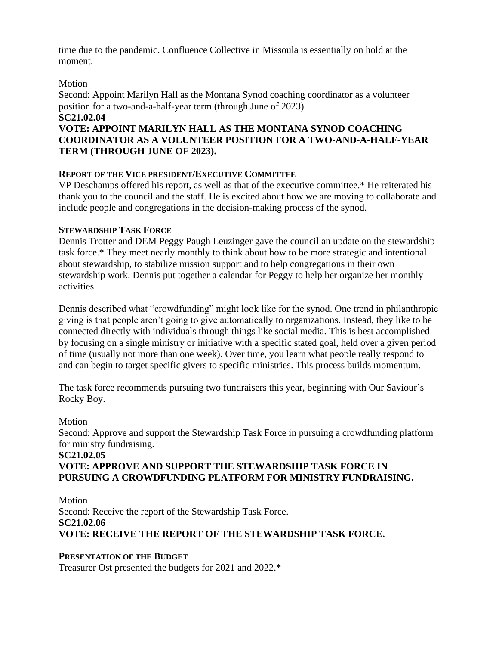time due to the pandemic. Confluence Collective in Missoula is essentially on hold at the moment.

# Motion

Second: Appoint Marilyn Hall as the Montana Synod coaching coordinator as a volunteer position for a two-and-a-half-year term (through June of 2023). **SC21.02.04**

# **VOTE: APPOINT MARILYN HALL AS THE MONTANA SYNOD COACHING COORDINATOR AS A VOLUNTEER POSITION FOR A TWO-AND-A-HALF-YEAR TERM (THROUGH JUNE OF 2023).**

## **REPORT OF THE VICE PRESIDENT/EXECUTIVE COMMITTEE**

VP Deschamps offered his report, as well as that of the executive committee.\* He reiterated his thank you to the council and the staff. He is excited about how we are moving to collaborate and include people and congregations in the decision-making process of the synod.

## **STEWARDSHIP TASK FORCE**

Dennis Trotter and DEM Peggy Paugh Leuzinger gave the council an update on the stewardship task force.\* They meet nearly monthly to think about how to be more strategic and intentional about stewardship, to stabilize mission support and to help congregations in their own stewardship work. Dennis put together a calendar for Peggy to help her organize her monthly activities.

Dennis described what "crowdfunding" might look like for the synod. One trend in philanthropic giving is that people aren't going to give automatically to organizations. Instead, they like to be connected directly with individuals through things like social media. This is best accomplished by focusing on a single ministry or initiative with a specific stated goal, held over a given period of time (usually not more than one week). Over time, you learn what people really respond to and can begin to target specific givers to specific ministries. This process builds momentum.

The task force recommends pursuing two fundraisers this year, beginning with Our Saviour's Rocky Boy.

# Motion Second: Approve and support the Stewardship Task Force in pursuing a crowdfunding platform for ministry fundraising. **SC21.02.05 VOTE: APPROVE AND SUPPORT THE STEWARDSHIP TASK FORCE IN**

# **PURSUING A CROWDFUNDING PLATFORM FOR MINISTRY FUNDRAISING.**

Motion Second: Receive the report of the Stewardship Task Force. **SC21.02.06 VOTE: RECEIVE THE REPORT OF THE STEWARDSHIP TASK FORCE.**

# **PRESENTATION OF THE BUDGET**

Treasurer Ost presented the budgets for 2021 and 2022.\*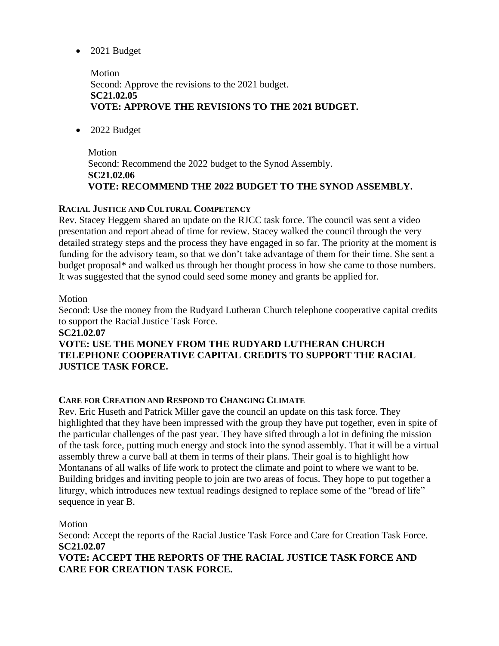• 2021 Budget

Motion Second: Approve the revisions to the 2021 budget. **SC21.02.05 VOTE: APPROVE THE REVISIONS TO THE 2021 BUDGET.**

• 2022 Budget

Motion Second: Recommend the 2022 budget to the Synod Assembly. **SC21.02.06 VOTE: RECOMMEND THE 2022 BUDGET TO THE SYNOD ASSEMBLY.**

# **RACIAL JUSTICE AND CULTURAL COMPETENCY**

Rev. Stacey Heggem shared an update on the RJCC task force. The council was sent a video presentation and report ahead of time for review. Stacey walked the council through the very detailed strategy steps and the process they have engaged in so far. The priority at the moment is funding for the advisory team, so that we don't take advantage of them for their time. She sent a budget proposal\* and walked us through her thought process in how she came to those numbers. It was suggested that the synod could seed some money and grants be applied for.

# Motion

Second: Use the money from the Rudyard Lutheran Church telephone cooperative capital credits to support the Racial Justice Task Force.

# **SC21.02.07**

# **VOTE: USE THE MONEY FROM THE RUDYARD LUTHERAN CHURCH TELEPHONE COOPERATIVE CAPITAL CREDITS TO SUPPORT THE RACIAL JUSTICE TASK FORCE.**

# **CARE FOR CREATION AND RESPOND TO CHANGING CLIMATE**

Rev. Eric Huseth and Patrick Miller gave the council an update on this task force. They highlighted that they have been impressed with the group they have put together, even in spite of the particular challenges of the past year. They have sifted through a lot in defining the mission of the task force, putting much energy and stock into the synod assembly. That it will be a virtual assembly threw a curve ball at them in terms of their plans. Their goal is to highlight how Montanans of all walks of life work to protect the climate and point to where we want to be. Building bridges and inviting people to join are two areas of focus. They hope to put together a liturgy, which introduces new textual readings designed to replace some of the "bread of life" sequence in year B.

# Motion

Second: Accept the reports of the Racial Justice Task Force and Care for Creation Task Force. **SC21.02.07**

**VOTE: ACCEPT THE REPORTS OF THE RACIAL JUSTICE TASK FORCE AND CARE FOR CREATION TASK FORCE.**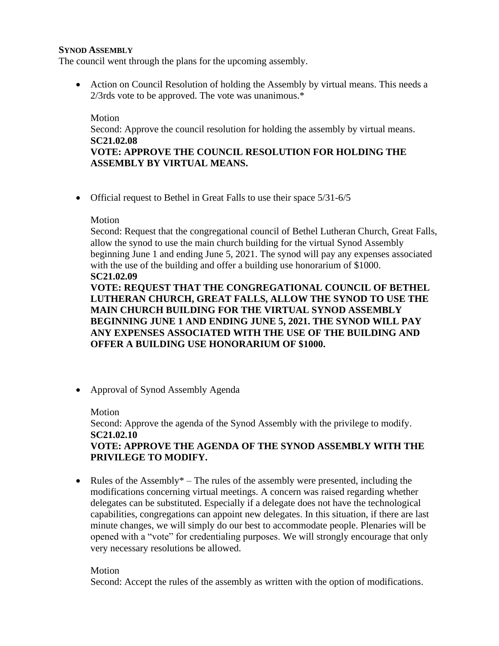#### **SYNOD ASSEMBLY**

The council went through the plans for the upcoming assembly.

• Action on Council Resolution of holding the Assembly by virtual means. This needs a 2/3rds vote to be approved. The vote was unanimous.\*

Motion Second: Approve the council resolution for holding the assembly by virtual means. **SC21.02.08 VOTE: APPROVE THE COUNCIL RESOLUTION FOR HOLDING THE ASSEMBLY BY VIRTUAL MEANS.**

• Official request to Bethel in Great Falls to use their space  $5/31-6/5$ 

#### Motion

Second: Request that the congregational council of Bethel Lutheran Church, Great Falls, allow the synod to use the main church building for the virtual Synod Assembly beginning June 1 and ending June 5, 2021. The synod will pay any expenses associated with the use of the building and offer a building use honorarium of \$1000. **SC21.02.09**

**VOTE: REQUEST THAT THE CONGREGATIONAL COUNCIL OF BETHEL LUTHERAN CHURCH, GREAT FALLS, ALLOW THE SYNOD TO USE THE MAIN CHURCH BUILDING FOR THE VIRTUAL SYNOD ASSEMBLY BEGINNING JUNE 1 AND ENDING JUNE 5, 2021. THE SYNOD WILL PAY ANY EXPENSES ASSOCIATED WITH THE USE OF THE BUILDING AND OFFER A BUILDING USE HONORARIUM OF \$1000.**

• Approval of Synod Assembly Agenda

Motion Second: Approve the agenda of the Synod Assembly with the privilege to modify. **SC21.02.10 VOTE: APPROVE THE AGENDA OF THE SYNOD ASSEMBLY WITH THE PRIVILEGE TO MODIFY.**

• Rules of the Assembly\* – The rules of the assembly were presented, including the modifications concerning virtual meetings. A concern was raised regarding whether delegates can be substituted. Especially if a delegate does not have the technological capabilities, congregations can appoint new delegates. In this situation, if there are last minute changes, we will simply do our best to accommodate people. Plenaries will be opened with a "vote" for credentialing purposes. We will strongly encourage that only very necessary resolutions be allowed.

Motion

Second: Accept the rules of the assembly as written with the option of modifications.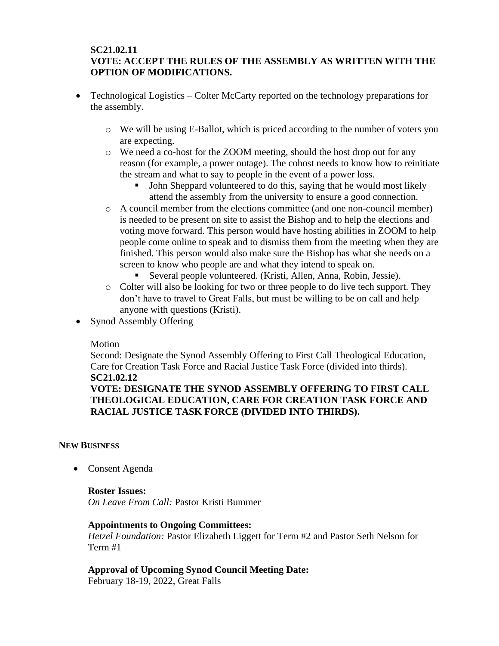# **SC21.02.11 VOTE: ACCEPT THE RULES OF THE ASSEMBLY AS WRITTEN WITH THE OPTION OF MODIFICATIONS.**

- Technological Logistics Colter McCarty reported on the technology preparations for the assembly.
	- o We will be using E-Ballot, which is priced according to the number of voters you are expecting.
	- o We need a co-host for the ZOOM meeting, should the host drop out for any reason (for example, a power outage). The cohost needs to know how to reinitiate the stream and what to say to people in the event of a power loss.
		- John Sheppard volunteered to do this, saying that he would most likely attend the assembly from the university to ensure a good connection.
	- o A council member from the elections committee (and one non-council member) is needed to be present on site to assist the Bishop and to help the elections and voting move forward. This person would have hosting abilities in ZOOM to help people come online to speak and to dismiss them from the meeting when they are finished. This person would also make sure the Bishop has what she needs on a screen to know who people are and what they intend to speak on.
		- Several people volunteered. (Kristi, Allen, Anna, Robin, Jessie).
	- o Colter will also be looking for two or three people to do live tech support. They don't have to travel to Great Falls, but must be willing to be on call and help anyone with questions (Kristi).
- Synod Assembly Offering –

#### Motion

Second: Designate the Synod Assembly Offering to First Call Theological Education, Care for Creation Task Force and Racial Justice Task Force (divided into thirds). **SC21.02.12**

# **VOTE: DESIGNATE THE SYNOD ASSEMBLY OFFERING TO FIRST CALL THEOLOGICAL EDUCATION, CARE FOR CREATION TASK FORCE AND RACIAL JUSTICE TASK FORCE (DIVIDED INTO THIRDS).**

#### **NEW BUSINESS**

• Consent Agenda

#### **Roster Issues:**

*On Leave From Call:* Pastor Kristi Bummer

#### **Appointments to Ongoing Committees:**

*Hetzel Foundation:* Pastor Elizabeth Liggett for Term #2 and Pastor Seth Nelson for Term #1

# **Approval of Upcoming Synod Council Meeting Date:**

February 18-19, 2022, Great Falls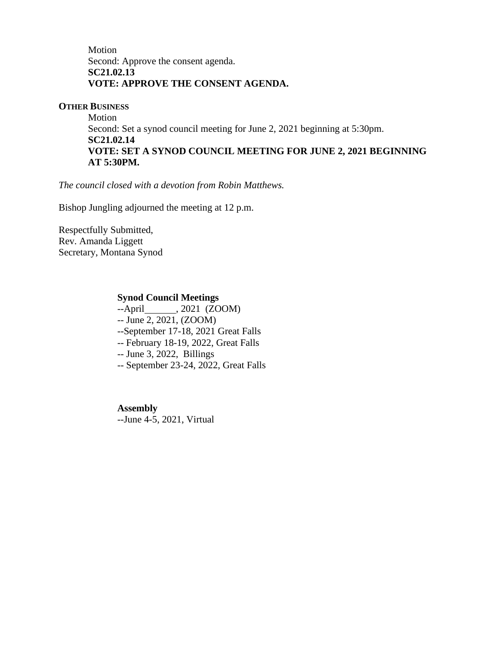Motion Second: Approve the consent agenda. **SC21.02.13 VOTE: APPROVE THE CONSENT AGENDA.**

#### **OTHER BUSINESS**

Motion Second: Set a synod council meeting for June 2, 2021 beginning at 5:30pm. **SC21.02.14 VOTE: SET A SYNOD COUNCIL MEETING FOR JUNE 2, 2021 BEGINNING AT 5:30PM.**

*The council closed with a devotion from Robin Matthews.*

Bishop Jungling adjourned the meeting at 12 p.m.

Respectfully Submitted, Rev. Amanda Liggett Secretary, Montana Synod

#### **Synod Council Meetings**

--April , 2021 (ZOOM)

-- June 2, 2021, (ZOOM)

--September 17-18, 2021 Great Falls

-- February 18-19, 2022, Great Falls

-- June 3, 2022, Billings

-- September 23-24, 2022, Great Falls

**Assembly** --June 4-5, 2021, Virtual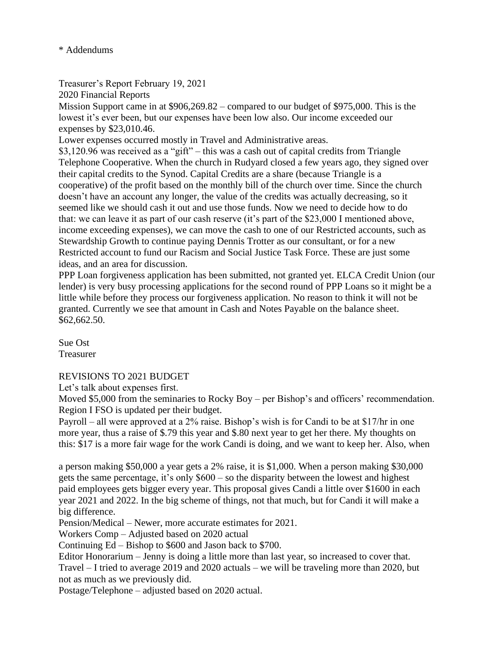# \* Addendums

Treasurer's Report February 19, 2021

2020 Financial Reports

Mission Support came in at \$906,269.82 – compared to our budget of \$975,000. This is the lowest it's ever been, but our expenses have been low also. Our income exceeded our expenses by \$23,010.46.

Lower expenses occurred mostly in Travel and Administrative areas.

\$3,120.96 was received as a "gift" – this was a cash out of capital credits from Triangle Telephone Cooperative. When the church in Rudyard closed a few years ago, they signed over their capital credits to the Synod. Capital Credits are a share (because Triangle is a cooperative) of the profit based on the monthly bill of the church over time. Since the church doesn't have an account any longer, the value of the credits was actually decreasing, so it seemed like we should cash it out and use those funds. Now we need to decide how to do that: we can leave it as part of our cash reserve (it's part of the \$23,000 I mentioned above, income exceeding expenses), we can move the cash to one of our Restricted accounts, such as Stewardship Growth to continue paying Dennis Trotter as our consultant, or for a new Restricted account to fund our Racism and Social Justice Task Force. These are just some ideas, and an area for discussion.

PPP Loan forgiveness application has been submitted, not granted yet. ELCA Credit Union (our lender) is very busy processing applications for the second round of PPP Loans so it might be a little while before they process our forgiveness application. No reason to think it will not be granted. Currently we see that amount in Cash and Notes Payable on the balance sheet. \$62,662.50.

Sue Ost Treasurer

# REVISIONS TO 2021 BUDGET

Let's talk about expenses first.

Moved \$5,000 from the seminaries to Rocky Boy – per Bishop's and officers' recommendation. Region I FSO is updated per their budget.

Payroll – all were approved at a 2% raise. Bishop's wish is for Candi to be at \$17/hr in one more year, thus a raise of \$.79 this year and \$.80 next year to get her there. My thoughts on this: \$17 is a more fair wage for the work Candi is doing, and we want to keep her. Also, when

a person making \$50,000 a year gets a 2% raise, it is \$1,000. When a person making \$30,000 gets the same percentage, it's only \$600 – so the disparity between the lowest and highest paid employees gets bigger every year. This proposal gives Candi a little over \$1600 in each year 2021 and 2022. In the big scheme of things, not that much, but for Candi it will make a big difference.

Pension/Medical – Newer, more accurate estimates for 2021.

Workers Comp – Adjusted based on 2020 actual

Continuing Ed – Bishop to \$600 and Jason back to \$700.

Editor Honorarium – Jenny is doing a little more than last year, so increased to cover that. Travel – I tried to average 2019 and 2020 actuals – we will be traveling more than 2020, but not as much as we previously did.

Postage/Telephone – adjusted based on 2020 actual.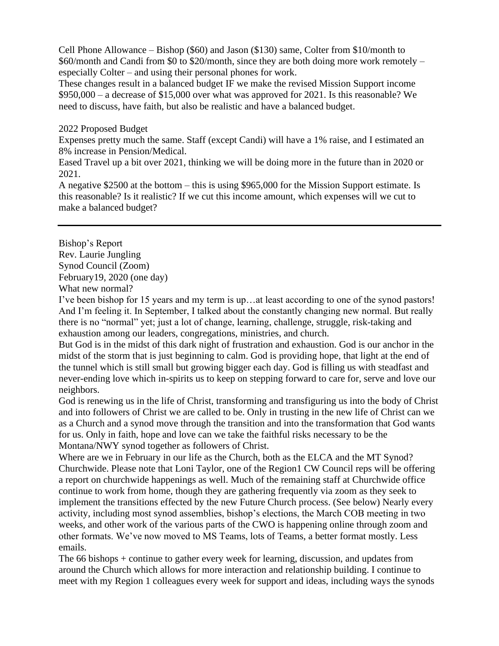Cell Phone Allowance – Bishop (\$60) and Jason (\$130) same, Colter from \$10/month to \$60/month and Candi from \$0 to \$20/month, since they are both doing more work remotely – especially Colter – and using their personal phones for work.

These changes result in a balanced budget IF we make the revised Mission Support income \$950,000 – a decrease of \$15,000 over what was approved for 2021. Is this reasonable? We need to discuss, have faith, but also be realistic and have a balanced budget.

#### 2022 Proposed Budget

Expenses pretty much the same. Staff (except Candi) will have a 1% raise, and I estimated an 8% increase in Pension/Medical.

Eased Travel up a bit over 2021, thinking we will be doing more in the future than in 2020 or 2021.

A negative \$2500 at the bottom – this is using \$965,000 for the Mission Support estimate. Is this reasonable? Is it realistic? If we cut this income amount, which expenses will we cut to make a balanced budget?

Bishop's Report Rev. Laurie Jungling Synod Council (Zoom) February19, 2020 (one day)

What new normal?

I've been bishop for 15 years and my term is up…at least according to one of the synod pastors! And I'm feeling it. In September, I talked about the constantly changing new normal. But really there is no "normal" yet; just a lot of change, learning, challenge, struggle, risk-taking and exhaustion among our leaders, congregations, ministries, and church.

But God is in the midst of this dark night of frustration and exhaustion. God is our anchor in the midst of the storm that is just beginning to calm. God is providing hope, that light at the end of the tunnel which is still small but growing bigger each day. God is filling us with steadfast and never-ending love which in-spirits us to keep on stepping forward to care for, serve and love our neighbors.

God is renewing us in the life of Christ, transforming and transfiguring us into the body of Christ and into followers of Christ we are called to be. Only in trusting in the new life of Christ can we as a Church and a synod move through the transition and into the transformation that God wants for us. Only in faith, hope and love can we take the faithful risks necessary to be the Montana/NWY synod together as followers of Christ.

Where are we in February in our life as the Church, both as the ELCA and the MT Synod? Churchwide. Please note that Loni Taylor, one of the Region1 CW Council reps will be offering a report on churchwide happenings as well. Much of the remaining staff at Churchwide office continue to work from home, though they are gathering frequently via zoom as they seek to implement the transitions effected by the new Future Church process. (See below) Nearly every activity, including most synod assemblies, bishop's elections, the March COB meeting in two weeks, and other work of the various parts of the CWO is happening online through zoom and other formats. We've now moved to MS Teams, lots of Teams, a better format mostly. Less emails.

The 66 bishops + continue to gather every week for learning, discussion, and updates from around the Church which allows for more interaction and relationship building. I continue to meet with my Region 1 colleagues every week for support and ideas, including ways the synods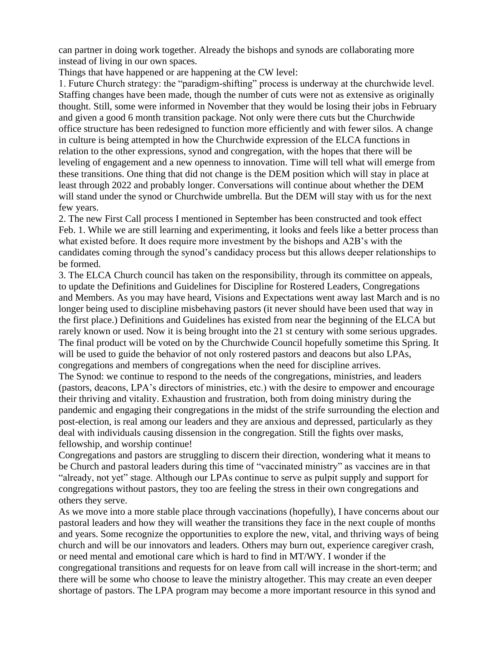can partner in doing work together. Already the bishops and synods are collaborating more instead of living in our own spaces.

Things that have happened or are happening at the CW level:

1. Future Church strategy: the "paradigm-shifting" process is underway at the churchwide level. Staffing changes have been made, though the number of cuts were not as extensive as originally thought. Still, some were informed in November that they would be losing their jobs in February and given a good 6 month transition package. Not only were there cuts but the Churchwide office structure has been redesigned to function more efficiently and with fewer silos. A change in culture is being attempted in how the Churchwide expression of the ELCA functions in relation to the other expressions, synod and congregation, with the hopes that there will be leveling of engagement and a new openness to innovation. Time will tell what will emerge from these transitions. One thing that did not change is the DEM position which will stay in place at least through 2022 and probably longer. Conversations will continue about whether the DEM will stand under the synod or Churchwide umbrella. But the DEM will stay with us for the next few years.

2. The new First Call process I mentioned in September has been constructed and took effect Feb. 1. While we are still learning and experimenting, it looks and feels like a better process than what existed before. It does require more investment by the bishops and A2B's with the candidates coming through the synod's candidacy process but this allows deeper relationships to be formed.

3. The ELCA Church council has taken on the responsibility, through its committee on appeals, to update the Definitions and Guidelines for Discipline for Rostered Leaders, Congregations and Members. As you may have heard, Visions and Expectations went away last March and is no longer being used to discipline misbehaving pastors (it never should have been used that way in the first place.) Definitions and Guidelines has existed from near the beginning of the ELCA but rarely known or used. Now it is being brought into the 21 st century with some serious upgrades. The final product will be voted on by the Churchwide Council hopefully sometime this Spring. It will be used to guide the behavior of not only rostered pastors and deacons but also LPAs, congregations and members of congregations when the need for discipline arrives.

The Synod: we continue to respond to the needs of the congregations, ministries, and leaders (pastors, deacons, LPA's directors of ministries, etc.) with the desire to empower and encourage their thriving and vitality. Exhaustion and frustration, both from doing ministry during the pandemic and engaging their congregations in the midst of the strife surrounding the election and post-election, is real among our leaders and they are anxious and depressed, particularly as they deal with individuals causing dissension in the congregation. Still the fights over masks, fellowship, and worship continue!

Congregations and pastors are struggling to discern their direction, wondering what it means to be Church and pastoral leaders during this time of "vaccinated ministry" as vaccines are in that "already, not yet" stage. Although our LPAs continue to serve as pulpit supply and support for congregations without pastors, they too are feeling the stress in their own congregations and others they serve.

As we move into a more stable place through vaccinations (hopefully), I have concerns about our pastoral leaders and how they will weather the transitions they face in the next couple of months and years. Some recognize the opportunities to explore the new, vital, and thriving ways of being church and will be our innovators and leaders. Others may burn out, experience caregiver crash, or need mental and emotional care which is hard to find in MT/WY. I wonder if the congregational transitions and requests for on leave from call will increase in the short-term; and there will be some who choose to leave the ministry altogether. This may create an even deeper shortage of pastors. The LPA program may become a more important resource in this synod and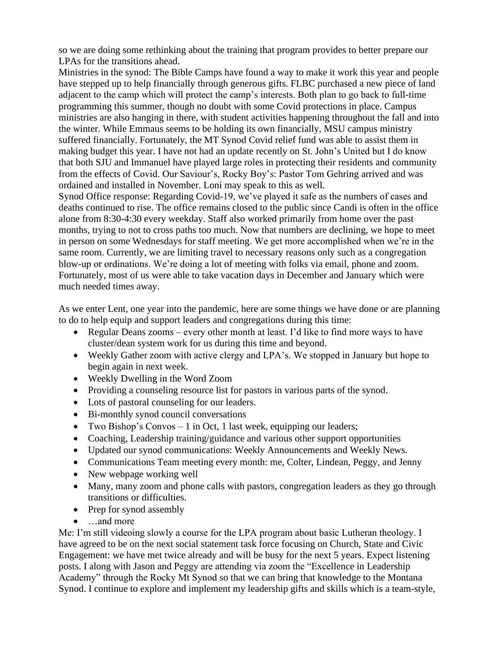so we are doing some rethinking about the training that program provides to better prepare our LPAs for the transitions ahead.

Ministries in the synod: The Bible Camps have found a way to make it work this year and people have stepped up to help financially through generous gifts. FLBC purchased a new piece of land adjacent to the camp which will protect the camp's interests. Both plan to go back to full-time programming this summer, though no doubt with some Covid protections in place. Campus ministries are also hanging in there, with student activities happening throughout the fall and into the winter. While Emmaus seems to be holding its own financially, MSU campus ministry suffered financially. Fortunately, the MT Synod Covid relief fund was able to assist them in making budget this year. I have not had an update recently on St. John's United but I do know that both SJU and Immanuel have played large roles in protecting their residents and community from the effects of Covid. Our Saviour's, Rocky Boy's: Pastor Tom Gehring arrived and was ordained and installed in November. Loni may speak to this as well.

Synod Office response: Regarding Covid-19, we've played it safe as the numbers of cases and deaths continued to rise. The office remains closed to the public since Candi is often in the office alone from 8:30-4:30 every weekday. Staff also worked primarily from home over the past months, trying to not to cross paths too much. Now that numbers are declining, we hope to meet in person on some Wednesdays for staff meeting. We get more accomplished when we're in the same room. Currently, we are limiting travel to necessary reasons only such as a congregation blow-up or ordinations. We're doing a lot of meeting with folks via email, phone and zoom. Fortunately, most of us were able to take vacation days in December and January which were much needed times away.

As we enter Lent, one year into the pandemic, here are some things we have done or are planning to do to help equip and support leaders and congregations during this time:

- Regular Deans zooms every other month at least. I'd like to find more ways to have cluster/dean system work for us during this time and beyond.
- Weekly Gather zoom with active clergy and LPA's. We stopped in January but hope to begin again in next week.
- Weekly Dwelling in the Word Zoom
- Providing a counseling resource list for pastors in various parts of the synod.
- Lots of pastoral counseling for our leaders.
- Bi-monthly synod council conversations
- Two Bishop's Convos 1 in Oct, 1 last week, equipping our leaders;
- Coaching, Leadership training/guidance and various other support opportunities
- Updated our synod communications: Weekly Announcements and Weekly News.
- Communications Team meeting every month: me, Colter, Lindean, Peggy, and Jenny
- New webpage working well
- Many, many zoom and phone calls with pastors, congregation leaders as they go through transitions or difficulties.
- Prep for synod assembly
- …and more

Me: I'm still videoing slowly a course for the LPA program about basic Lutheran theology. I have agreed to be on the next social statement task force focusing on Church, State and Civic Engagement: we have met twice already and will be busy for the next 5 years. Expect listening posts. I along with Jason and Peggy are attending via zoom the "Excellence in Leadership Academy" through the Rocky Mt Synod so that we can bring that knowledge to the Montana Synod. I continue to explore and implement my leadership gifts and skills which is a team-style,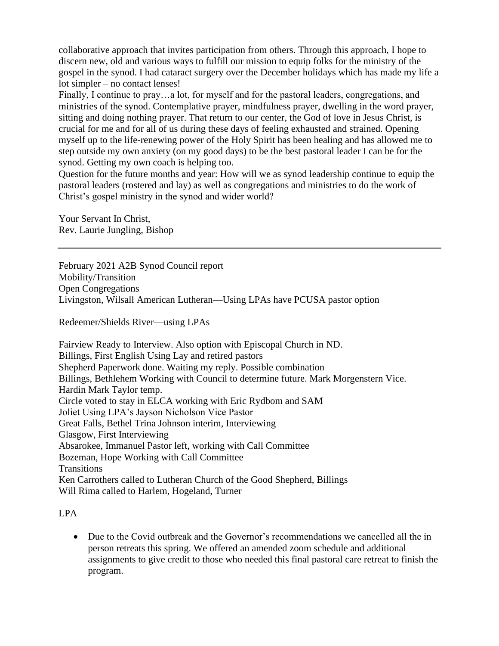collaborative approach that invites participation from others. Through this approach, I hope to discern new, old and various ways to fulfill our mission to equip folks for the ministry of the gospel in the synod. I had cataract surgery over the December holidays which has made my life a lot simpler – no contact lenses!

Finally, I continue to pray…a lot, for myself and for the pastoral leaders, congregations, and ministries of the synod. Contemplative prayer, mindfulness prayer, dwelling in the word prayer, sitting and doing nothing prayer. That return to our center, the God of love in Jesus Christ, is crucial for me and for all of us during these days of feeling exhausted and strained. Opening myself up to the life-renewing power of the Holy Spirit has been healing and has allowed me to step outside my own anxiety (on my good days) to be the best pastoral leader I can be for the synod. Getting my own coach is helping too.

Question for the future months and year: How will we as synod leadership continue to equip the pastoral leaders (rostered and lay) as well as congregations and ministries to do the work of Christ's gospel ministry in the synod and wider world?

Your Servant In Christ, Rev. Laurie Jungling, Bishop

February 2021 A2B Synod Council report Mobility/Transition Open Congregations Livingston, Wilsall American Lutheran—Using LPAs have PCUSA pastor option

Redeemer/Shields River—using LPAs

Fairview Ready to Interview. Also option with Episcopal Church in ND. Billings, First English Using Lay and retired pastors Shepherd Paperwork done. Waiting my reply. Possible combination Billings, Bethlehem Working with Council to determine future. Mark Morgenstern Vice. Hardin Mark Taylor temp. Circle voted to stay in ELCA working with Eric Rydbom and SAM Joliet Using LPA's Jayson Nicholson Vice Pastor Great Falls, Bethel Trina Johnson interim, Interviewing Glasgow, First Interviewing Absarokee, Immanuel Pastor left, working with Call Committee Bozeman, Hope Working with Call Committee **Transitions** Ken Carrothers called to Lutheran Church of the Good Shepherd, Billings Will Rima called to Harlem, Hogeland, Turner

# LPA

• Due to the Covid outbreak and the Governor's recommendations we cancelled all the in person retreats this spring. We offered an amended zoom schedule and additional assignments to give credit to those who needed this final pastoral care retreat to finish the program.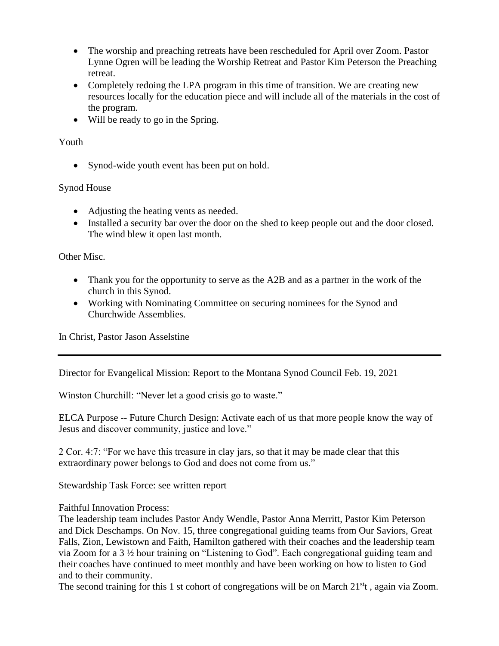- The worship and preaching retreats have been rescheduled for April over Zoom. Pastor Lynne Ogren will be leading the Worship Retreat and Pastor Kim Peterson the Preaching retreat.
- Completely redoing the LPA program in this time of transition. We are creating new resources locally for the education piece and will include all of the materials in the cost of the program.
- Will be ready to go in the Spring.

# Youth

• Synod-wide youth event has been put on hold.

## Synod House

- Adjusting the heating vents as needed.
- Installed a security bar over the door on the shed to keep people out and the door closed. The wind blew it open last month.

#### Other Misc.

- Thank you for the opportunity to serve as the A2B and as a partner in the work of the church in this Synod.
- Working with Nominating Committee on securing nominees for the Synod and Churchwide Assemblies.

In Christ, Pastor Jason Asselstine

Director for Evangelical Mission: Report to the Montana Synod Council Feb. 19, 2021

Winston Churchill: "Never let a good crisis go to waste."

ELCA Purpose -- Future Church Design: Activate each of us that more people know the way of Jesus and discover community, justice and love."

2 Cor. 4:7: "For we have this treasure in clay jars, so that it may be made clear that this extraordinary power belongs to God and does not come from us."

Stewardship Task Force: see written report

Faithful Innovation Process:

The leadership team includes Pastor Andy Wendle, Pastor Anna Merritt, Pastor Kim Peterson and Dick Deschamps. On Nov. 15, three congregational guiding teams from Our Saviors, Great Falls, Zion, Lewistown and Faith, Hamilton gathered with their coaches and the leadership team via Zoom for a 3 ½ hour training on "Listening to God". Each congregational guiding team and their coaches have continued to meet monthly and have been working on how to listen to God and to their community.

The second training for this 1 st cohort of congregations will be on March  $21<sup>st</sup>$ , again via Zoom.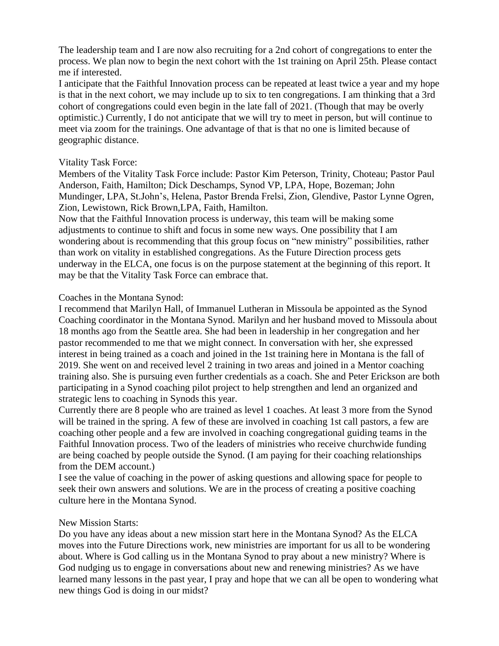The leadership team and I are now also recruiting for a 2nd cohort of congregations to enter the process. We plan now to begin the next cohort with the 1st training on April 25th. Please contact me if interested.

I anticipate that the Faithful Innovation process can be repeated at least twice a year and my hope is that in the next cohort, we may include up to six to ten congregations. I am thinking that a 3rd cohort of congregations could even begin in the late fall of 2021. (Though that may be overly optimistic.) Currently, I do not anticipate that we will try to meet in person, but will continue to meet via zoom for the trainings. One advantage of that is that no one is limited because of geographic distance.

#### Vitality Task Force:

Members of the Vitality Task Force include: Pastor Kim Peterson, Trinity, Choteau; Pastor Paul Anderson, Faith, Hamilton; Dick Deschamps, Synod VP, LPA, Hope, Bozeman; John Mundinger, LPA, St.John's, Helena, Pastor Brenda Frelsi, Zion, Glendive, Pastor Lynne Ogren, Zion, Lewistown, Rick Brown,LPA, Faith, Hamilton.

Now that the Faithful Innovation process is underway, this team will be making some adjustments to continue to shift and focus in some new ways. One possibility that I am wondering about is recommending that this group focus on "new ministry" possibilities, rather than work on vitality in established congregations. As the Future Direction process gets underway in the ELCA, one focus is on the purpose statement at the beginning of this report. It may be that the Vitality Task Force can embrace that.

#### Coaches in the Montana Synod:

I recommend that Marilyn Hall, of Immanuel Lutheran in Missoula be appointed as the Synod Coaching coordinator in the Montana Synod. Marilyn and her husband moved to Missoula about 18 months ago from the Seattle area. She had been in leadership in her congregation and her pastor recommended to me that we might connect. In conversation with her, she expressed interest in being trained as a coach and joined in the 1st training here in Montana is the fall of 2019. She went on and received level 2 training in two areas and joined in a Mentor coaching training also. She is pursuing even further credentials as a coach. She and Peter Erickson are both participating in a Synod coaching pilot project to help strengthen and lend an organized and strategic lens to coaching in Synods this year.

Currently there are 8 people who are trained as level 1 coaches. At least 3 more from the Synod will be trained in the spring. A few of these are involved in coaching 1st call pastors, a few are coaching other people and a few are involved in coaching congregational guiding teams in the Faithful Innovation process. Two of the leaders of ministries who receive churchwide funding are being coached by people outside the Synod. (I am paying for their coaching relationships from the DEM account.)

I see the value of coaching in the power of asking questions and allowing space for people to seek their own answers and solutions. We are in the process of creating a positive coaching culture here in the Montana Synod.

#### New Mission Starts:

Do you have any ideas about a new mission start here in the Montana Synod? As the ELCA moves into the Future Directions work, new ministries are important for us all to be wondering about. Where is God calling us in the Montana Synod to pray about a new ministry? Where is God nudging us to engage in conversations about new and renewing ministries? As we have learned many lessons in the past year, I pray and hope that we can all be open to wondering what new things God is doing in our midst?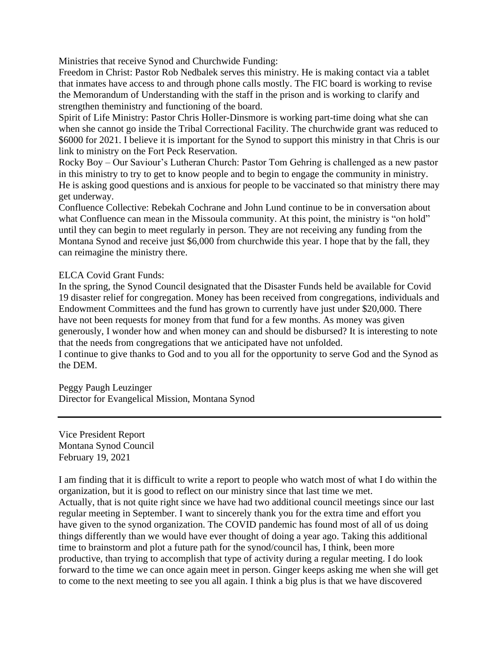Ministries that receive Synod and Churchwide Funding:

Freedom in Christ: Pastor Rob Nedbalek serves this ministry. He is making contact via a tablet that inmates have access to and through phone calls mostly. The FIC board is working to revise the Memorandum of Understanding with the staff in the prison and is working to clarify and strengthen theministry and functioning of the board.

Spirit of Life Ministry: Pastor Chris Holler-Dinsmore is working part-time doing what she can when she cannot go inside the Tribal Correctional Facility. The churchwide grant was reduced to \$6000 for 2021. I believe it is important for the Synod to support this ministry in that Chris is our link to ministry on the Fort Peck Reservation.

Rocky Boy – Our Saviour's Lutheran Church: Pastor Tom Gehring is challenged as a new pastor in this ministry to try to get to know people and to begin to engage the community in ministry. He is asking good questions and is anxious for people to be vaccinated so that ministry there may get underway.

Confluence Collective: Rebekah Cochrane and John Lund continue to be in conversation about what Confluence can mean in the Missoula community. At this point, the ministry is "on hold" until they can begin to meet regularly in person. They are not receiving any funding from the Montana Synod and receive just \$6,000 from churchwide this year. I hope that by the fall, they can reimagine the ministry there.

## ELCA Covid Grant Funds:

In the spring, the Synod Council designated that the Disaster Funds held be available for Covid 19 disaster relief for congregation. Money has been received from congregations, individuals and Endowment Committees and the fund has grown to currently have just under \$20,000. There have not been requests for money from that fund for a few months. As money was given generously, I wonder how and when money can and should be disbursed? It is interesting to note that the needs from congregations that we anticipated have not unfolded.

I continue to give thanks to God and to you all for the opportunity to serve God and the Synod as the DEM.

Peggy Paugh Leuzinger Director for Evangelical Mission, Montana Synod

Vice President Report Montana Synod Council February 19, 2021

I am finding that it is difficult to write a report to people who watch most of what I do within the organization, but it is good to reflect on our ministry since that last time we met. Actually, that is not quite right since we have had two additional council meetings since our last regular meeting in September. I want to sincerely thank you for the extra time and effort you have given to the synod organization. The COVID pandemic has found most of all of us doing things differently than we would have ever thought of doing a year ago. Taking this additional time to brainstorm and plot a future path for the synod/council has, I think, been more productive, than trying to accomplish that type of activity during a regular meeting. I do look forward to the time we can once again meet in person. Ginger keeps asking me when she will get to come to the next meeting to see you all again. I think a big plus is that we have discovered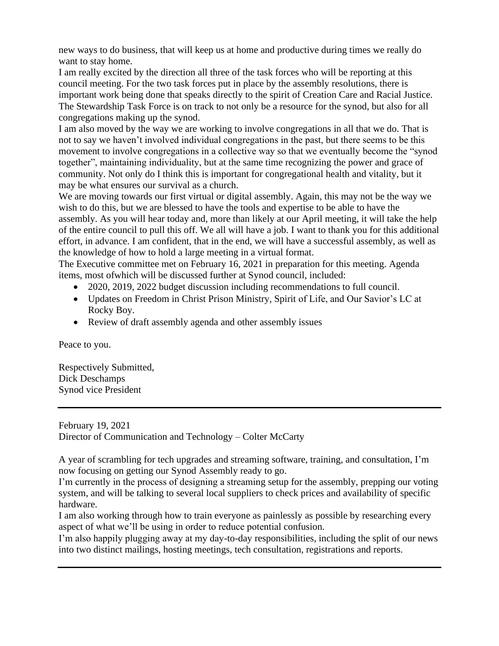new ways to do business, that will keep us at home and productive during times we really do want to stay home.

I am really excited by the direction all three of the task forces who will be reporting at this council meeting. For the two task forces put in place by the assembly resolutions, there is important work being done that speaks directly to the spirit of Creation Care and Racial Justice. The Stewardship Task Force is on track to not only be a resource for the synod, but also for all congregations making up the synod.

I am also moved by the way we are working to involve congregations in all that we do. That is not to say we haven't involved individual congregations in the past, but there seems to be this movement to involve congregations in a collective way so that we eventually become the "synod together", maintaining individuality, but at the same time recognizing the power and grace of community. Not only do I think this is important for congregational health and vitality, but it may be what ensures our survival as a church.

We are moving towards our first virtual or digital assembly. Again, this may not be the way we wish to do this, but we are blessed to have the tools and expertise to be able to have the assembly. As you will hear today and, more than likely at our April meeting, it will take the help of the entire council to pull this off. We all will have a job. I want to thank you for this additional effort, in advance. I am confident, that in the end, we will have a successful assembly, as well as the knowledge of how to hold a large meeting in a virtual format.

The Executive committee met on February 16, 2021 in preparation for this meeting. Agenda items, most ofwhich will be discussed further at Synod council, included:

- 2020, 2019, 2022 budget discussion including recommendations to full council.
- Updates on Freedom in Christ Prison Ministry, Spirit of Life, and Our Savior's LC at Rocky Boy.
- Review of draft assembly agenda and other assembly issues

Peace to you.

Respectively Submitted, Dick Deschamps Synod vice President

February 19, 2021 Director of Communication and Technology – Colter McCarty

A year of scrambling for tech upgrades and streaming software, training, and consultation, I'm now focusing on getting our Synod Assembly ready to go.

I'm currently in the process of designing a streaming setup for the assembly, prepping our voting system, and will be talking to several local suppliers to check prices and availability of specific hardware.

I am also working through how to train everyone as painlessly as possible by researching every aspect of what we'll be using in order to reduce potential confusion.

I'm also happily plugging away at my day-to-day responsibilities, including the split of our news into two distinct mailings, hosting meetings, tech consultation, registrations and reports.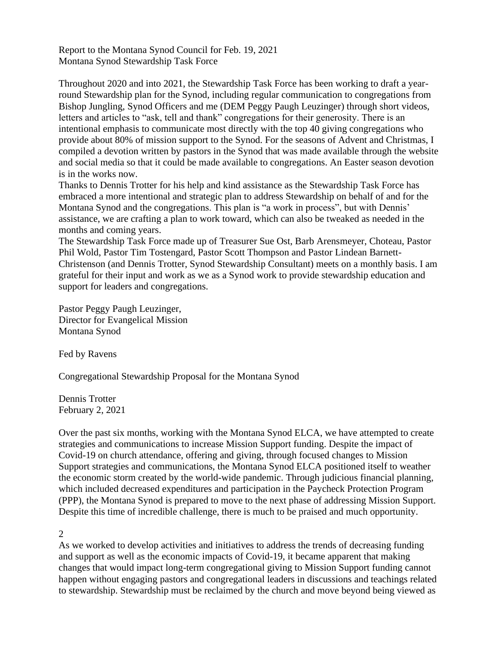Report to the Montana Synod Council for Feb. 19, 2021 Montana Synod Stewardship Task Force

Throughout 2020 and into 2021, the Stewardship Task Force has been working to draft a yearround Stewardship plan for the Synod, including regular communication to congregations from Bishop Jungling, Synod Officers and me (DEM Peggy Paugh Leuzinger) through short videos, letters and articles to "ask, tell and thank" congregations for their generosity. There is an intentional emphasis to communicate most directly with the top 40 giving congregations who provide about 80% of mission support to the Synod. For the seasons of Advent and Christmas, I compiled a devotion written by pastors in the Synod that was made available through the website and social media so that it could be made available to congregations. An Easter season devotion is in the works now.

Thanks to Dennis Trotter for his help and kind assistance as the Stewardship Task Force has embraced a more intentional and strategic plan to address Stewardship on behalf of and for the Montana Synod and the congregations. This plan is "a work in process", but with Dennis' assistance, we are crafting a plan to work toward, which can also be tweaked as needed in the months and coming years.

The Stewardship Task Force made up of Treasurer Sue Ost, Barb Arensmeyer, Choteau, Pastor Phil Wold, Pastor Tim Tostengard, Pastor Scott Thompson and Pastor Lindean Barnett-Christenson (and Dennis Trotter, Synod Stewardship Consultant) meets on a monthly basis. I am grateful for their input and work as we as a Synod work to provide stewardship education and support for leaders and congregations.

Pastor Peggy Paugh Leuzinger, Director for Evangelical Mission Montana Synod

Fed by Ravens

Congregational Stewardship Proposal for the Montana Synod

Dennis Trotter February 2, 2021

Over the past six months, working with the Montana Synod ELCA, we have attempted to create strategies and communications to increase Mission Support funding. Despite the impact of Covid-19 on church attendance, offering and giving, through focused changes to Mission Support strategies and communications, the Montana Synod ELCA positioned itself to weather the economic storm created by the world-wide pandemic. Through judicious financial planning, which included decreased expenditures and participation in the Paycheck Protection Program (PPP), the Montana Synod is prepared to move to the next phase of addressing Mission Support. Despite this time of incredible challenge, there is much to be praised and much opportunity.

2

As we worked to develop activities and initiatives to address the trends of decreasing funding and support as well as the economic impacts of Covid-19, it became apparent that making changes that would impact long-term congregational giving to Mission Support funding cannot happen without engaging pastors and congregational leaders in discussions and teachings related to stewardship. Stewardship must be reclaimed by the church and move beyond being viewed as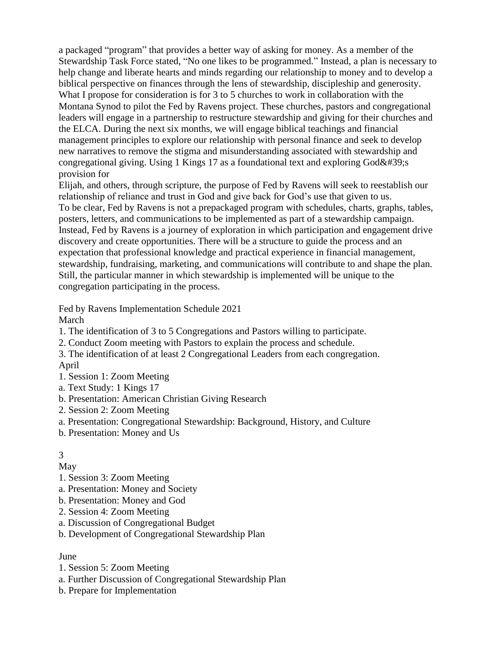a packaged "program" that provides a better way of asking for money. As a member of the Stewardship Task Force stated, "No one likes to be programmed." Instead, a plan is necessary to help change and liberate hearts and minds regarding our relationship to money and to develop a biblical perspective on finances through the lens of stewardship, discipleship and generosity. What I propose for consideration is for 3 to 5 churches to work in collaboration with the Montana Synod to pilot the Fed by Ravens project. These churches, pastors and congregational leaders will engage in a partnership to restructure stewardship and giving for their churches and the ELCA. During the next six months, we will engage biblical teachings and financial management principles to explore our relationship with personal finance and seek to develop new narratives to remove the stigma and misunderstanding associated with stewardship and congregational giving. Using 1 Kings 17 as a foundational text and exploring  $God'$ ; provision for

Elijah, and others, through scripture, the purpose of Fed by Ravens will seek to reestablish our relationship of reliance and trust in God and give back for God's use that given to us.

To be clear, Fed by Ravens is not a prepackaged program with schedules, charts, graphs, tables, posters, letters, and communications to be implemented as part of a stewardship campaign. Instead, Fed by Ravens is a journey of exploration in which participation and engagement drive discovery and create opportunities. There will be a structure to guide the process and an expectation that professional knowledge and practical experience in financial management, stewardship, fundraising, marketing, and communications will contribute to and shape the plan. Still, the particular manner in which stewardship is implemented will be unique to the congregation participating in the process.

Fed by Ravens Implementation Schedule 2021 March

1. The identification of 3 to 5 Congregations and Pastors willing to participate.

- 2. Conduct Zoom meeting with Pastors to explain the process and schedule.
- 3. The identification of at least 2 Congregational Leaders from each congregation. April
- 1. Session 1: Zoom Meeting
- a. Text Study: 1 Kings 17
- b. Presentation: American Christian Giving Research
- 2. Session 2: Zoom Meeting
- a. Presentation: Congregational Stewardship: Background, History, and Culture
- b. Presentation: Money and Us

#### 3

# May

- 1. Session 3: Zoom Meeting
- a. Presentation: Money and Society
- b. Presentation: Money and God
- 2. Session 4: Zoom Meeting
- a. Discussion of Congregational Budget
- b. Development of Congregational Stewardship Plan

#### June

- 1. Session 5: Zoom Meeting
- a. Further Discussion of Congregational Stewardship Plan
- b. Prepare for Implementation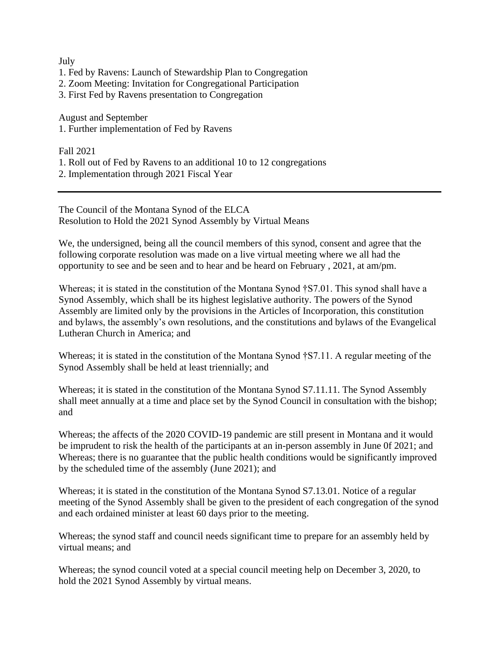#### July

- 1. Fed by Ravens: Launch of Stewardship Plan to Congregation
- 2. Zoom Meeting: Invitation for Congregational Participation
- 3. First Fed by Ravens presentation to Congregation

August and September

1. Further implementation of Fed by Ravens

Fall 2021

- 1. Roll out of Fed by Ravens to an additional 10 to 12 congregations
- 2. Implementation through 2021 Fiscal Year

The Council of the Montana Synod of the ELCA Resolution to Hold the 2021 Synod Assembly by Virtual Means

We, the undersigned, being all the council members of this synod, consent and agree that the following corporate resolution was made on a live virtual meeting where we all had the opportunity to see and be seen and to hear and be heard on February , 2021, at am/pm.

Whereas; it is stated in the constitution of the Montana Synod †S7.01. This synod shall have a Synod Assembly, which shall be its highest legislative authority. The powers of the Synod Assembly are limited only by the provisions in the Articles of Incorporation, this constitution and bylaws, the assembly's own resolutions, and the constitutions and bylaws of the Evangelical Lutheran Church in America; and

Whereas; it is stated in the constitution of the Montana Synod †S7.11. A regular meeting of the Synod Assembly shall be held at least triennially; and

Whereas; it is stated in the constitution of the Montana Synod S7.11.11. The Synod Assembly shall meet annually at a time and place set by the Synod Council in consultation with the bishop; and

Whereas; the affects of the 2020 COVID-19 pandemic are still present in Montana and it would be imprudent to risk the health of the participants at an in-person assembly in June 0f 2021; and Whereas; there is no guarantee that the public health conditions would be significantly improved by the scheduled time of the assembly (June 2021); and

Whereas; it is stated in the constitution of the Montana Synod S7.13.01. Notice of a regular meeting of the Synod Assembly shall be given to the president of each congregation of the synod and each ordained minister at least 60 days prior to the meeting.

Whereas; the synod staff and council needs significant time to prepare for an assembly held by virtual means; and

Whereas; the synod council voted at a special council meeting help on December 3, 2020, to hold the 2021 Synod Assembly by virtual means.